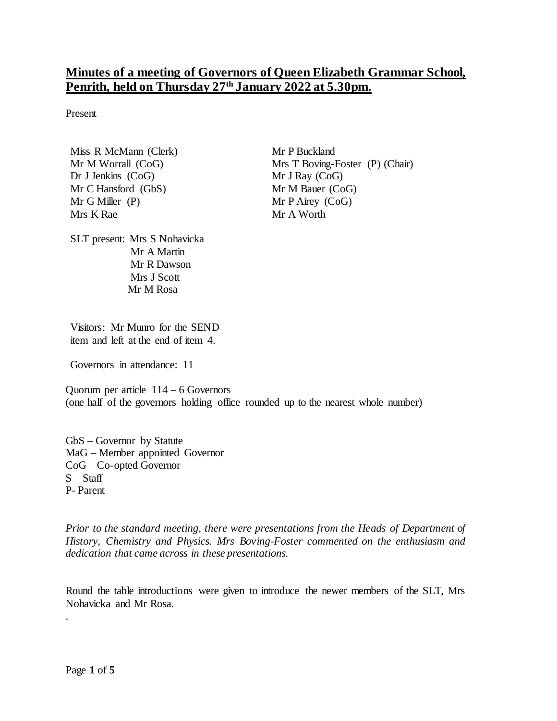# **Minutes of a meeting of Governors of Queen Elizabeth Grammar School, Penrith, held on Thursday 27th January 2022 at 5.30pm.**

Present

Miss R McMann (Clerk) Mr M Worrall (CoG) Dr J Jenkins (CoG) Mr C Hansford (GbS) Mr G Miller (P) Mrs K Rae

Mr P Buckland Mrs T Boving-Foster (P) (Chair) Mr J Ray (CoG) Mr M Bauer (CoG) Mr P Airey (CoG) Mr A Worth

SLT present: Mrs S Nohavicka Mr A Martin Mr R Dawson Mrs J Scott Mr M Rosa

Visitors: Mr Munro for the SEND item and left at the end of item 4.

Governors in attendance: 11

Quorum per article  $114 - 6$  Governors (one half of the governors holding office rounded up to the nearest whole number)

GbS – Governor by Statute MaG – Member appointed Governor CoG – Co-opted Governor  $S - Start$ P- Parent

*Prior to the standard meeting, there were presentations from the Heads of Department of History, Chemistry and Physics. Mrs Boving-Foster commented on the enthusiasm and dedication that came across in these presentations.* 

Round the table introductions were given to introduce the newer members of the SLT, Mrs Nohavicka and Mr Rosa.

.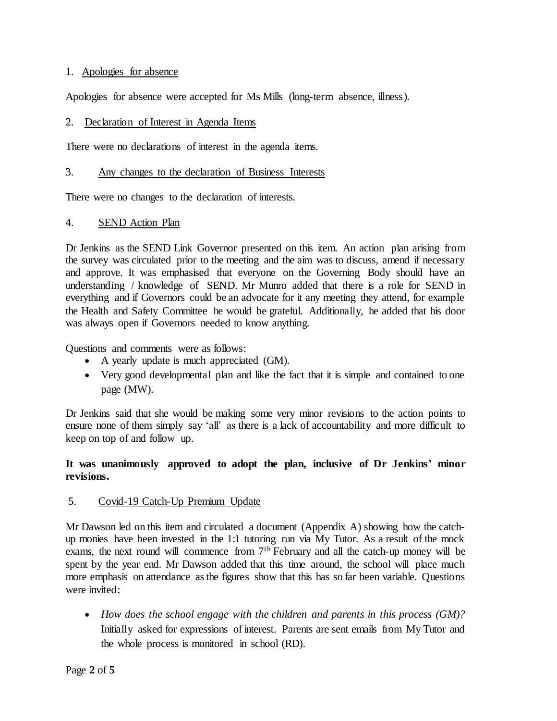#### 1. Apologies for absence

Apologies for absence were accepted for Ms Mills (long-term absence, illness).

#### 2. Declaration of Interest in Agenda Items

There were no declarations of interest in the agenda items.

#### 3. Any changes to the declaration of Business Interests

There were no changes to the declaration of interests.

#### 4. SEND Action Plan

Dr Jenkins as the SEND Link Governor presented on this item. An action plan arising from the survey was circulated prior to the meeting and the aim was to discuss, amend if necessary and approve. It was emphasised that everyone on the Governing Body should have an understanding / knowledge of SEND. Mr Munro added that there is a role for SEND in everything and if Governors could be an advocate for it any meeting they attend, for example the Health and Safety Committee he would be grateful. Additionally, he added that his door was always open if Governors needed to know anything.

Questions and comments were as follows:

- A yearly update is much appreciated (GM).
- Very good developmental plan and like the fact that it is simple and contained to one page (MW).

Dr Jenkins said that she would be making some very minor revisions to the action points to ensure none of them simply say 'all' as there is a lack of accountability and more difficult to keep on top of and follow up.

## **It was unanimously approved to adopt the plan, inclusive of Dr Jenkins' minor revisions.**

## 5. Covid-19 Catch-Up Premium Update

Mr Dawson led on this item and circulated a document (Appendix A) showing how the catchup monies have been invested in the 1:1 tutoring run via My Tutor. As a result of the mock exams, the next round will commence from  $7<sup>th</sup>$  February and all the catch-up money will be spent by the year end. Mr Dawson added that this time around, the school will place much more emphasis on attendance as the figures show that this has so far been variable. Questions were invited:

 *How does the school engage with the children and parents in this process (GM)?*  Initially asked for expressions of interest. Parents are sent emails from My Tutor and the whole process is monitored in school (RD).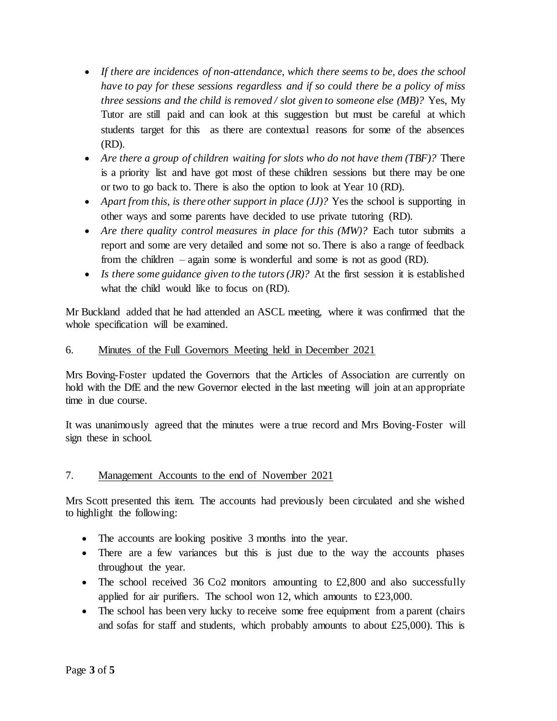- *If there are incidences of non-attendance, which there seems to be, does the school have to pay for these sessions regardless and if so could there be a policy of miss three sessions and the child is removed / slot given to someone else (MB)?* Yes, My Tutor are still paid and can look at this suggestion but must be careful at which students target for this as there are contextual reasons for some of the absences (RD).
- *Are there a group of children waiting for slots who do not have them (TBF)?* There is a priority list and have got most of these children sessions but there may be one or two to go back to. There is also the option to look at Year 10 (RD).
- *Apart from this, is there other support in place (JJ)?* Yes the school is supporting in other ways and some parents have decided to use private tutoring (RD).
- Are there quality control measures in place for this *(MW)*? Each tutor submits a report and some are very detailed and some not so. There is also a range of feedback from the children – again some is wonderful and some is not as good (RD).
- Is there some guidance given to the tutors (JR)? At the first session it is established what the child would like to focus on (RD).

Mr Buckland added that he had attended an ASCL meeting, where it was confirmed that the whole specification will be examined.

# 6. Minutes of the Full Governors Meeting held in December 2021

Mrs Boving-Foster updated the Governors that the Articles of Association are currently on hold with the DfE and the new Governor elected in the last meeting will join at an appropriate time in due course.

It was unanimously agreed that the minutes were a true record and Mrs Boving-Foster will sign these in school.

## 7. Management Accounts to the end of November 2021

Mrs Scott presented this item. The accounts had previously been circulated and she wished to highlight the following:

- The accounts are looking positive 3 months into the year.
- There are a few variances but this is just due to the way the accounts phases throughout the year.
- The school received 36 Co2 monitors amounting to  $\text{\pounds}2,800$  and also successfully applied for air purifiers. The school won 12, which amounts to £23,000.
- The school has been very lucky to receive some free equipment from a parent (chairs and sofas for staff and students, which probably amounts to about  $£25,000$ . This is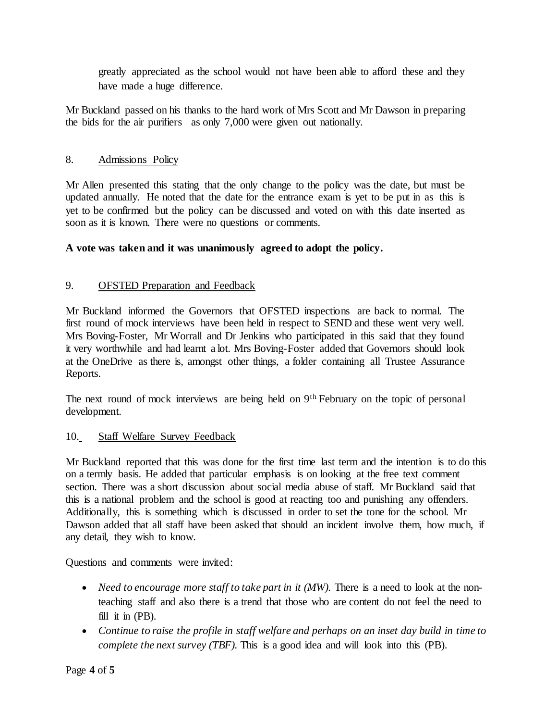greatly appreciated as the school would not have been able to afford these and they have made a huge difference.

Mr Buckland passed on his thanks to the hard work of Mrs Scott and Mr Dawson in preparing the bids for the air purifiers as only 7,000 were given out nationally.

# 8. Admissions Policy

Mr Allen presented this stating that the only change to the policy was the date, but must be updated annually. He noted that the date for the entrance exam is yet to be put in as this is yet to be confirmed but the policy can be discussed and voted on with this date inserted as soon as it is known. There were no questions or comments.

# **A vote was taken and it was unanimously agreed to adopt the policy.**

# 9. OFSTED Preparation and Feedback

Mr Buckland informed the Governors that OFSTED inspections are back to normal. The first round of mock interviews have been held in respect to SEND and these went very well. Mrs Boving-Foster, Mr Worrall and Dr Jenkins who participated in this said that they found it very worthwhile and had learnt a lot. Mrs Boving-Foster added that Governors should look at the OneDrive as there is, amongst other things, a folder containing all Trustee Assurance Reports.

The next round of mock interviews are being held on 9<sup>th</sup> February on the topic of personal development.

## 10. Staff Welfare Survey Feedback

Mr Buckland reported that this was done for the first time last term and the intention is to do this on a termly basis. He added that particular emphasis is on looking at the free text comment section. There was a short discussion about social media abuse of staff. Mr Buckland said that this is a national problem and the school is good at reacting too and punishing any offenders. Additionally, this is something which is discussed in order to set the tone for the school. Mr Dawson added that all staff have been asked that should an incident involve them, how much, if any detail, they wish to know.

Questions and comments were invited:

- *Need to encourage more staff to take part in it (MW).* There is a need to look at the nonteaching staff and also there is a trend that those who are content do not feel the need to fill it in (PB).
- *Continue to raise the profile in staff welfare and perhaps on an inset day build in time to complete the next survey (TBF).* This is a good idea and will look into this (PB).